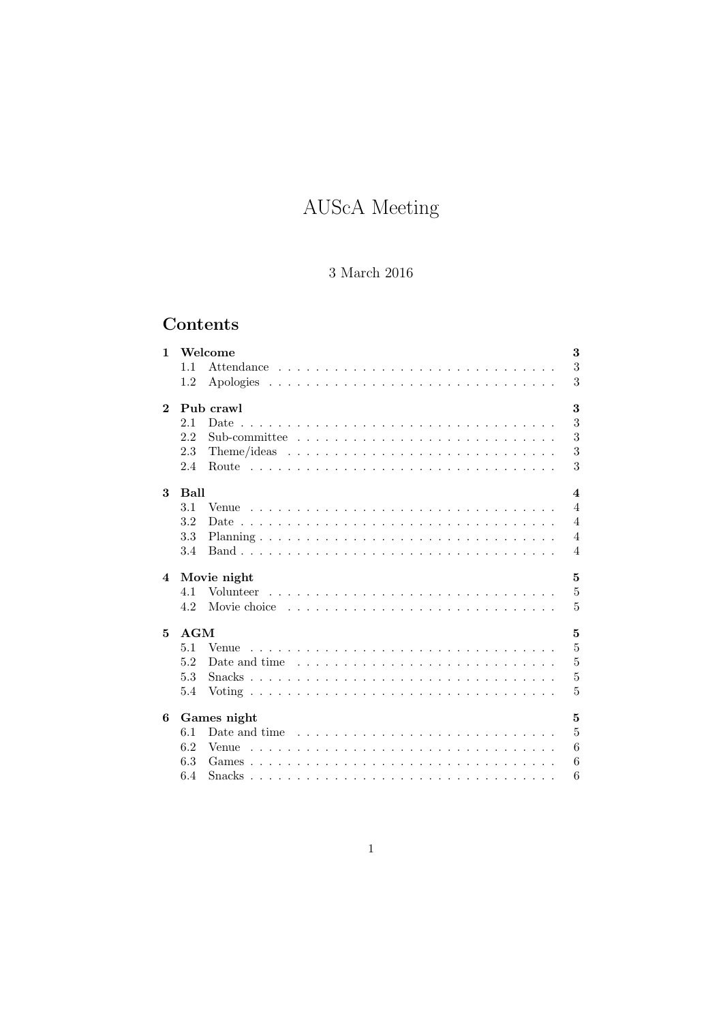# AUScA Meeting

# 3 March 2016

# Contents

| $\mathbf{1}$            | 1.1                             | Welcome                                                                               | 3<br>3         |  |  |  |
|-------------------------|---------------------------------|---------------------------------------------------------------------------------------|----------------|--|--|--|
|                         | 1.2                             |                                                                                       | 3              |  |  |  |
| $\mathbf{2}$            | 3<br>Pub crawl                  |                                                                                       |                |  |  |  |
|                         | 2.1                             | Date                                                                                  | 3              |  |  |  |
|                         | 2.2                             |                                                                                       | 3              |  |  |  |
|                         | 2.3                             |                                                                                       | 3              |  |  |  |
|                         | 2.4                             |                                                                                       | 3              |  |  |  |
| 3                       | Ball<br>$\overline{\mathbf{4}}$ |                                                                                       |                |  |  |  |
|                         | 3.1                             |                                                                                       | $\overline{4}$ |  |  |  |
|                         | 3.2                             |                                                                                       | $\overline{4}$ |  |  |  |
|                         | 3.3                             |                                                                                       | $\overline{4}$ |  |  |  |
|                         | 3.4                             |                                                                                       | $\overline{4}$ |  |  |  |
| $\overline{\mathbf{4}}$ | 5<br>Movie night                |                                                                                       |                |  |  |  |
|                         |                                 |                                                                                       |                |  |  |  |
|                         | 4.1                             | Volunteer                                                                             | 5              |  |  |  |
|                         | 4.2                             |                                                                                       | 5              |  |  |  |
| 5                       | <b>AGM</b>                      |                                                                                       | 5              |  |  |  |
|                         | 5.1                             |                                                                                       | 5              |  |  |  |
|                         | 5.2                             | Date and time $\ldots \ldots \ldots \ldots \ldots \ldots \ldots \ldots \ldots \ldots$ | $\overline{5}$ |  |  |  |
|                         | 5.3                             |                                                                                       | 5              |  |  |  |
|                         | 5.4                             |                                                                                       | 5              |  |  |  |
| 6                       |                                 | Games night                                                                           | 5              |  |  |  |
|                         | 6.1                             | Date and time $\ldots \ldots \ldots \ldots \ldots \ldots \ldots \ldots \ldots$        | $\overline{5}$ |  |  |  |
|                         | 6.2                             |                                                                                       | 6              |  |  |  |
|                         | 6.3                             |                                                                                       | 6              |  |  |  |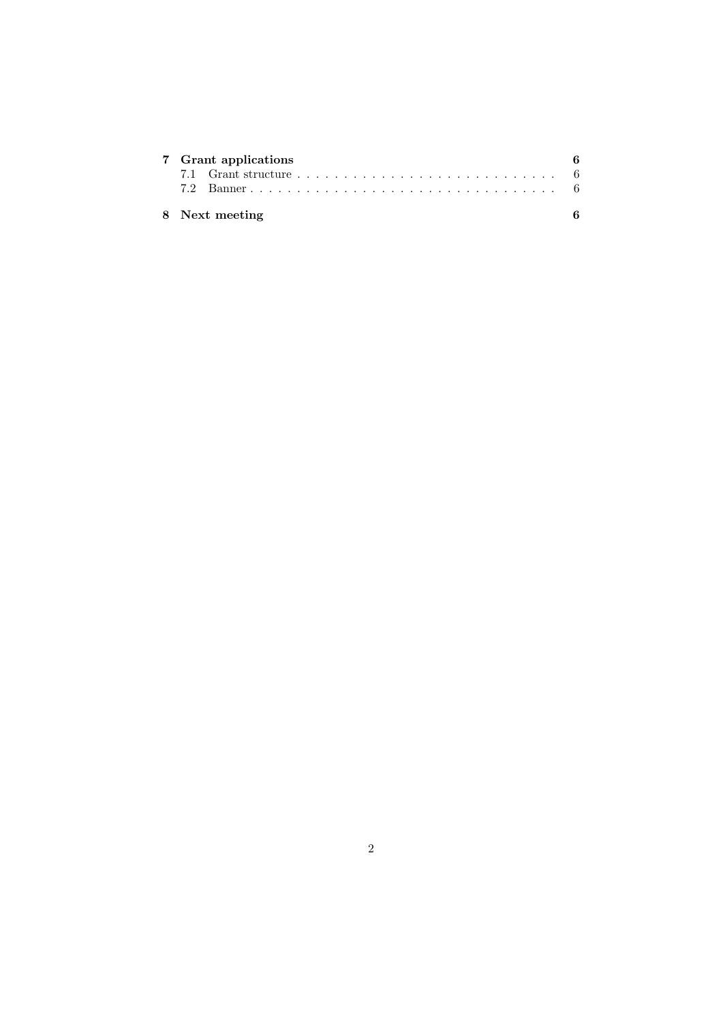| 7 Grant applications |  |  |  |  |
|----------------------|--|--|--|--|
|                      |  |  |  |  |
|                      |  |  |  |  |
| 8 Next meeting       |  |  |  |  |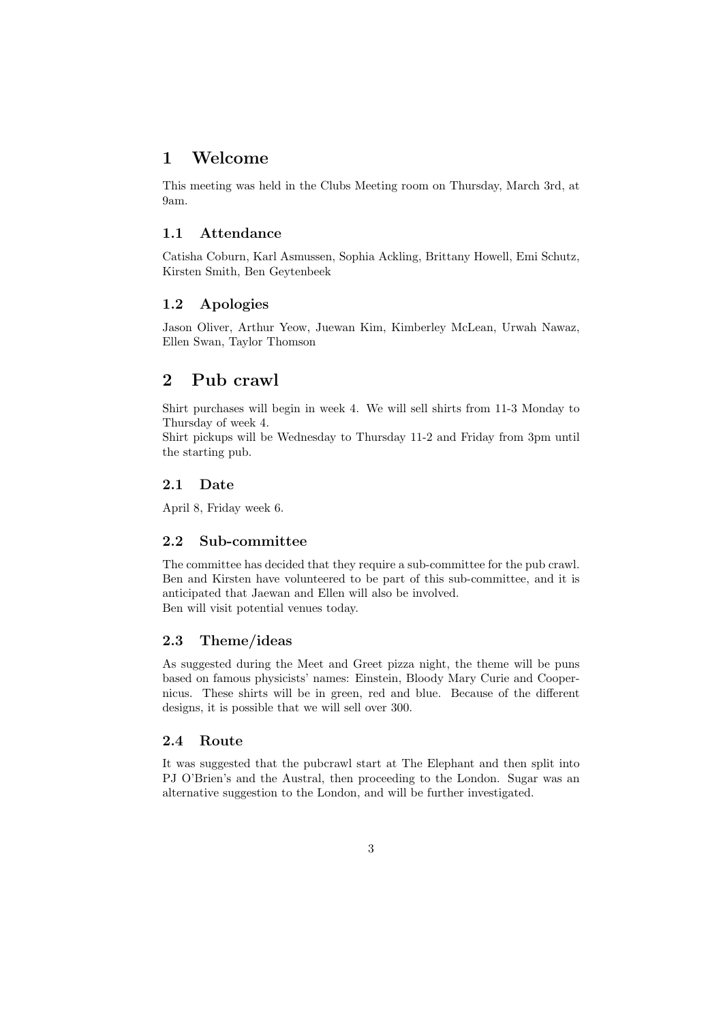# 1 Welcome

This meeting was held in the Clubs Meeting room on Thursday, March 3rd, at 9am.

#### 1.1 Attendance

Catisha Coburn, Karl Asmussen, Sophia Ackling, Brittany Howell, Emi Schutz, Kirsten Smith, Ben Geytenbeek

#### 1.2 Apologies

Jason Oliver, Arthur Yeow, Juewan Kim, Kimberley McLean, Urwah Nawaz, Ellen Swan, Taylor Thomson

# 2 Pub crawl

Shirt purchases will begin in week 4. We will sell shirts from 11-3 Monday to Thursday of week 4.

Shirt pickups will be Wednesday to Thursday 11-2 and Friday from 3pm until the starting pub.

#### 2.1 Date

April 8, Friday week 6.

#### 2.2 Sub-committee

The committee has decided that they require a sub-committee for the pub crawl. Ben and Kirsten have volunteered to be part of this sub-committee, and it is anticipated that Jaewan and Ellen will also be involved. Ben will visit potential venues today.

#### 2.3 Theme/ideas

As suggested during the Meet and Greet pizza night, the theme will be puns based on famous physicists' names: Einstein, Bloody Mary Curie and Coopernicus. These shirts will be in green, red and blue. Because of the different designs, it is possible that we will sell over 300.

#### 2.4 Route

It was suggested that the pubcrawl start at The Elephant and then split into PJ O'Brien's and the Austral, then proceeding to the London. Sugar was an alternative suggestion to the London, and will be further investigated.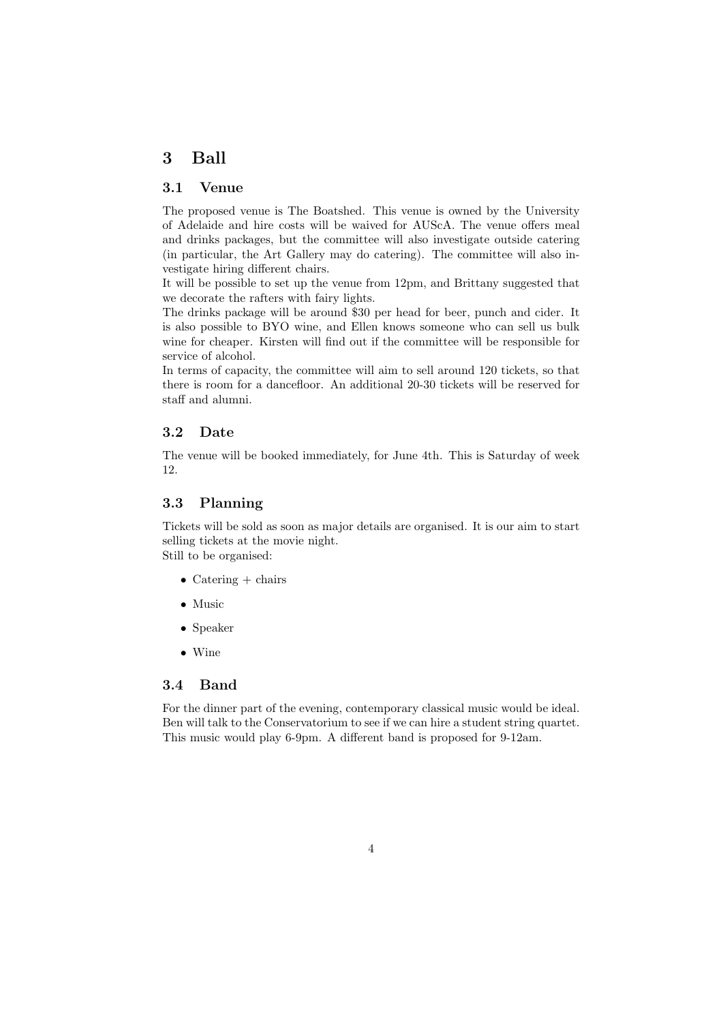# 3 Ball

#### 3.1 Venue

The proposed venue is The Boatshed. This venue is owned by the University of Adelaide and hire costs will be waived for AUScA. The venue offers meal and drinks packages, but the committee will also investigate outside catering (in particular, the Art Gallery may do catering). The committee will also investigate hiring different chairs.

It will be possible to set up the venue from 12pm, and Brittany suggested that we decorate the rafters with fairy lights.

The drinks package will be around \$30 per head for beer, punch and cider. It is also possible to BYO wine, and Ellen knows someone who can sell us bulk wine for cheaper. Kirsten will find out if the committee will be responsible for service of alcohol.

In terms of capacity, the committee will aim to sell around 120 tickets, so that there is room for a dancefloor. An additional 20-30 tickets will be reserved for staff and alumni.

#### 3.2 Date

The venue will be booked immediately, for June 4th. This is Saturday of week 12.

#### 3.3 Planning

Tickets will be sold as soon as major details are organised. It is our aim to start selling tickets at the movie night. Still to be organised:

- Catering  $+$  chairs
- Music
- Speaker
- Wine

#### 3.4 Band

For the dinner part of the evening, contemporary classical music would be ideal. Ben will talk to the Conservatorium to see if we can hire a student string quartet. This music would play 6-9pm. A different band is proposed for 9-12am.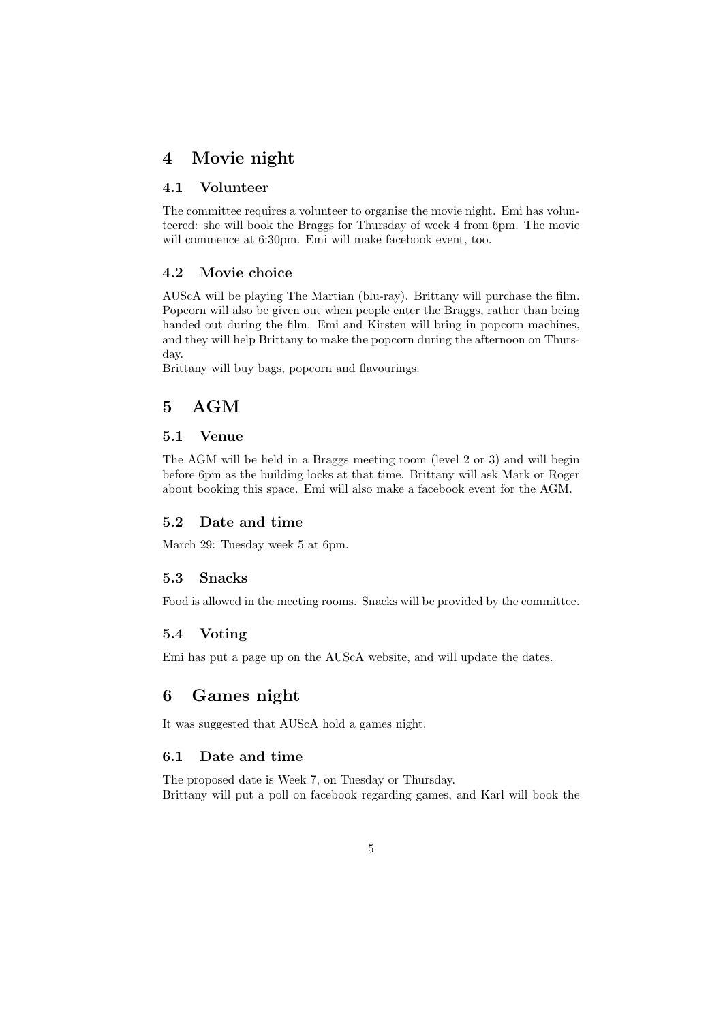# 4 Movie night

#### 4.1 Volunteer

The committee requires a volunteer to organise the movie night. Emi has volunteered: she will book the Braggs for Thursday of week 4 from 6pm. The movie will commence at 6:30pm. Emi will make facebook event, too.

#### 4.2 Movie choice

AUScA will be playing The Martian (blu-ray). Brittany will purchase the film. Popcorn will also be given out when people enter the Braggs, rather than being handed out during the film. Emi and Kirsten will bring in popcorn machines, and they will help Brittany to make the popcorn during the afternoon on Thursday.

Brittany will buy bags, popcorn and flavourings.

# 5 AGM

#### 5.1 Venue

The AGM will be held in a Braggs meeting room (level 2 or 3) and will begin before 6pm as the building locks at that time. Brittany will ask Mark or Roger about booking this space. Emi will also make a facebook event for the AGM.

#### 5.2 Date and time

March 29: Tuesday week 5 at 6pm.

#### 5.3 Snacks

Food is allowed in the meeting rooms. Snacks will be provided by the committee.

#### 5.4 Voting

Emi has put a page up on the AUScA website, and will update the dates.

# 6 Games night

It was suggested that AUScA hold a games night.

## 6.1 Date and time

The proposed date is Week 7, on Tuesday or Thursday. Brittany will put a poll on facebook regarding games, and Karl will book the